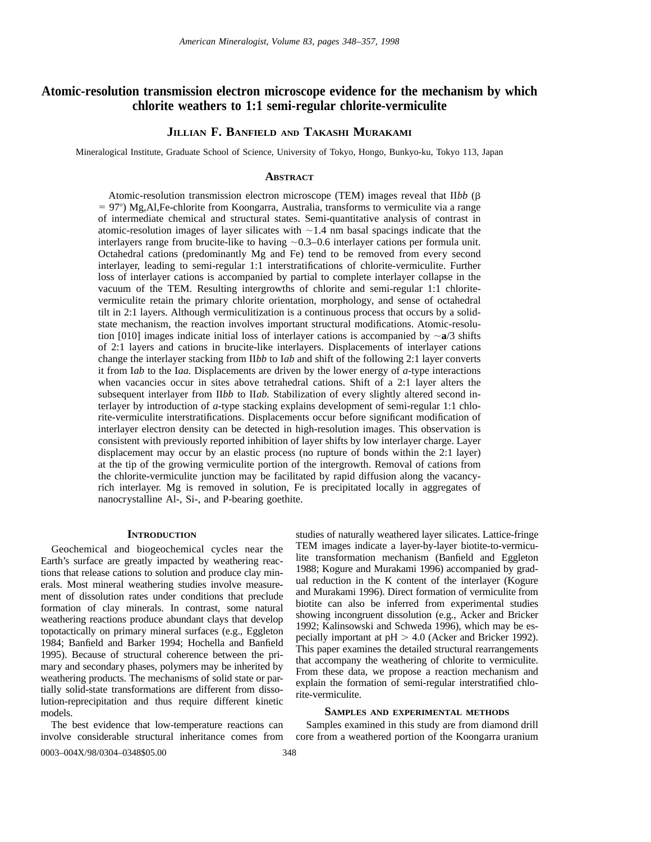# **Atomic-resolution transmission electron microscope evidence for the mechanism by which chlorite weathers to 1:1 semi-regular chlorite-vermiculite**

# **JILLIAN F. BANFIELD AND TAKASHI MURAKAMI**

Mineralogical Institute, Graduate School of Science, University of Tokyo, Hongo, Bunkyo-ku, Tokyo 113, Japan

### **ABSTRACT**

Atomic-resolution transmission electron microscope (TEM) images reveal that II*bb* (b  $= 97^{\circ}$ ) Mg,Al,Fe-chlorite from Koongarra, Australia, transforms to vermiculite via a range of intermediate chemical and structural states. Semi-quantitative analysis of contrast in atomic-resolution images of layer silicates with  $\sim$  1.4 nm basal spacings indicate that the interlayers range from brucite-like to having  $\sim 0.3-0.6$  interlayer cations per formula unit. Octahedral cations (predominantly Mg and Fe) tend to be removed from every second interlayer, leading to semi-regular 1:1 interstratifications of chlorite-vermiculite. Further loss of interlayer cations is accompanied by partial to complete interlayer collapse in the vacuum of the TEM. Resulting intergrowths of chlorite and semi-regular 1:1 chloritevermiculite retain the primary chlorite orientation, morphology, and sense of octahedral tilt in 2:1 layers. Although vermiculitization is a continuous process that occurs by a solidstate mechanism, the reaction involves important structural modifications. Atomic-resolution [010] images indicate initial loss of interlayer cations is accompanied by  $\sim a/3$  shifts of 2:1 layers and cations in brucite-like interlayers. Displacements of interlayer cations change the interlayer stacking from II*bb* to I*ab* and shift of the following 2:1 layer converts it from I*ab* to the I*aa.* Displacements are driven by the lower energy of *a*-type interactions when vacancies occur in sites above tetrahedral cations. Shift of a 2:1 layer alters the subsequent interlayer from II*bb* to II*ab.* Stabilization of every slightly altered second interlayer by introduction of *a*-type stacking explains development of semi-regular 1:1 chlorite-vermiculite interstratifications. Displacements occur before significant modification of interlayer electron density can be detected in high-resolution images. This observation is consistent with previously reported inhibition of layer shifts by low interlayer charge. Layer displacement may occur by an elastic process (no rupture of bonds within the 2:1 layer) at the tip of the growing vermiculite portion of the intergrowth. Removal of cations from the chlorite-vermiculite junction may be facilitated by rapid diffusion along the vacancyrich interlayer. Mg is removed in solution, Fe is precipitated locally in aggregates of nanocrystalline Al-, Si-, and P-bearing goethite.

# **INTRODUCTION**

Geochemical and biogeochemical cycles near the Earth's surface are greatly impacted by weathering reactions that release cations to solution and produce clay minerals. Most mineral weathering studies involve measurement of dissolution rates under conditions that preclude formation of clay minerals. In contrast, some natural weathering reactions produce abundant clays that develop topotactically on primary mineral surfaces (e.g., Eggleton 1984; Banfield and Barker 1994; Hochella and Banfield 1995). Because of structural coherence between the primary and secondary phases, polymers may be inherited by weathering products. The mechanisms of solid state or partially solid-state transformations are different from dissolution-reprecipitation and thus require different kinetic models.

The best evidence that low-temperature reactions can involve considerable structural inheritance comes from studies of naturally weathered layer silicates. Lattice-fringe TEM images indicate a layer-by-layer biotite-to-vermiculite transformation mechanism (Banfield and Eggleton 1988; Kogure and Murakami 1996) accompanied by gradual reduction in the K content of the interlayer (Kogure and Murakami 1996). Direct formation of vermiculite from biotite can also be inferred from experimental studies showing incongruent dissolution (e.g., Acker and Bricker 1992; Kalinsowski and Schweda 1996), which may be especially important at  $pH > 4.0$  (Acker and Bricker 1992). This paper examines the detailed structural rearrangements that accompany the weathering of chlorite to vermiculite. From these data, we propose a reaction mechanism and explain the formation of semi-regular interstratified chlorite-vermiculite.

### **SAMPLES AND EXPERIMENTAL METHODS**

Samples examined in this study are from diamond drill core from a weathered portion of the Koongarra uranium

0003–004X/98/0304–0348\$05.00 348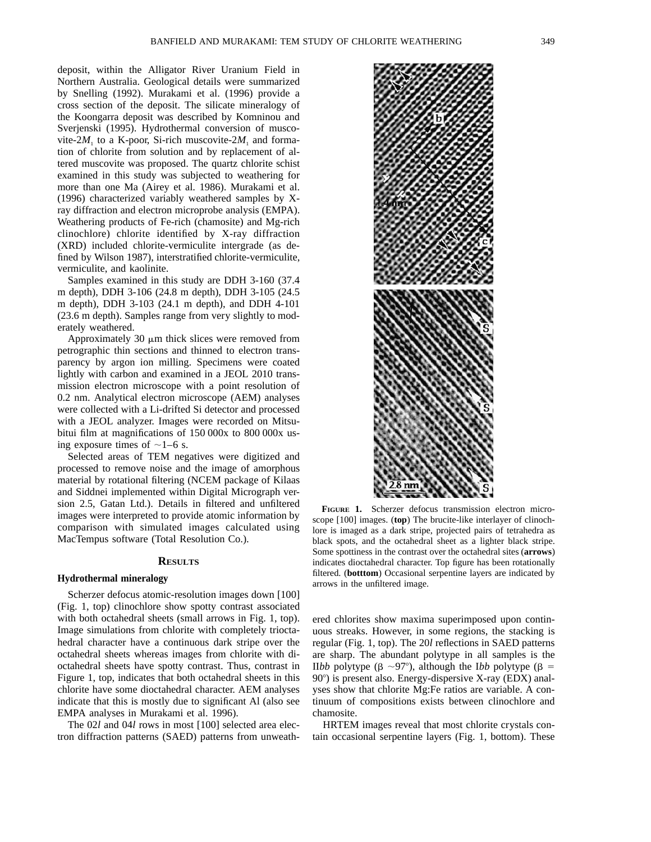deposit, within the Alligator River Uranium Field in Northern Australia. Geological details were summarized by Snelling (1992). Murakami et al. (1996) provide a cross section of the deposit. The silicate mineralogy of the Koongarra deposit was described by Komninou and Sverjenski (1995). Hydrothermal conversion of muscovite-2 $M<sub>1</sub>$  to a K-poor, Si-rich muscovite-2 $M<sub>1</sub>$  and formation of chlorite from solution and by replacement of altered muscovite was proposed. The quartz chlorite schist examined in this study was subjected to weathering for more than one Ma (Airey et al. 1986). Murakami et al. (1996) characterized variably weathered samples by Xray diffraction and electron microprobe analysis (EMPA). Weathering products of Fe-rich (chamosite) and Mg-rich clinochlore) chlorite identified by X-ray diffraction (XRD) included chlorite-vermiculite intergrade (as defined by Wilson 1987), interstratified chlorite-vermiculite, vermiculite, and kaolinite.

Samples examined in this study are DDH 3-160 (37.4 m depth), DDH 3-106 (24.8 m depth), DDH 3-105 (24.5 m depth), DDH 3-103 (24.1 m depth), and DDH 4-101 (23.6 m depth). Samples range from very slightly to moderately weathered.

Approximately 30  $\mu$ m thick slices were removed from petrographic thin sections and thinned to electron transparency by argon ion milling. Specimens were coated lightly with carbon and examined in a JEOL 2010 transmission electron microscope with a point resolution of 0.2 nm. Analytical electron microscope (AEM) analyses were collected with a Li-drifted Si detector and processed with a JEOL analyzer. Images were recorded on Mitsubitui film at magnifications of 150 000x to 800 000x using exposure times of  $\sim$ 1–6 s.

Selected areas of TEM negatives were digitized and processed to remove noise and the image of amorphous material by rotational filtering (NCEM package of Kilaas and Siddnei implemented within Digital Micrograph version 2.5, Gatan Ltd.). Details in filtered and unfiltered images were interpreted to provide atomic information by comparison with simulated images calculated using MacTempus software (Total Resolution Co.).

### **RESULTS**

### **Hydrothermal mineralogy**

Scherzer defocus atomic-resolution images down [100] (Fig. 1, top) clinochlore show spotty contrast associated with both octahedral sheets (small arrows in Fig. 1, top). Image simulations from chlorite with completely trioctahedral character have a continuous dark stripe over the octahedral sheets whereas images from chlorite with dioctahedral sheets have spotty contrast. Thus, contrast in Figure 1, top, indicates that both octahedral sheets in this chlorite have some dioctahedral character. AEM analyses indicate that this is mostly due to significant Al (also see EMPA analyses in Murakami et al. 1996).

The 02*l* and 04*l* rows in most [100] selected area electron diffraction patterns (SAED) patterns from unweath-



**FIGURE 1.** Scherzer defocus transmission electron microscope [100] images. (**top**) The brucite-like interlayer of clinochlore is imaged as a dark stripe, projected pairs of tetrahedra as black spots, and the octahedral sheet as a lighter black stripe. Some spottiness in the contrast over the octahedral sites (**arrows**) indicates dioctahedral character. Top figure has been rotationally filtered. (**botttom**) Occasional serpentine layers are indicated by arrows in the unfiltered image.

ered chlorites show maxima superimposed upon continuous streaks. However, in some regions, the stacking is regular (Fig. 1, top). The 20*l* reflections in SAED patterns are sharp. The abundant polytype in all samples is the II*bb* polytype ( $\beta \sim 97^{\circ}$ ), although the I*bb* polytype ( $\beta =$  $90^\circ$ ) is present also. Energy-dispersive X-ray (EDX) analyses show that chlorite Mg:Fe ratios are variable. A continuum of compositions exists between clinochlore and chamosite.

HRTEM images reveal that most chlorite crystals contain occasional serpentine layers (Fig. 1, bottom). These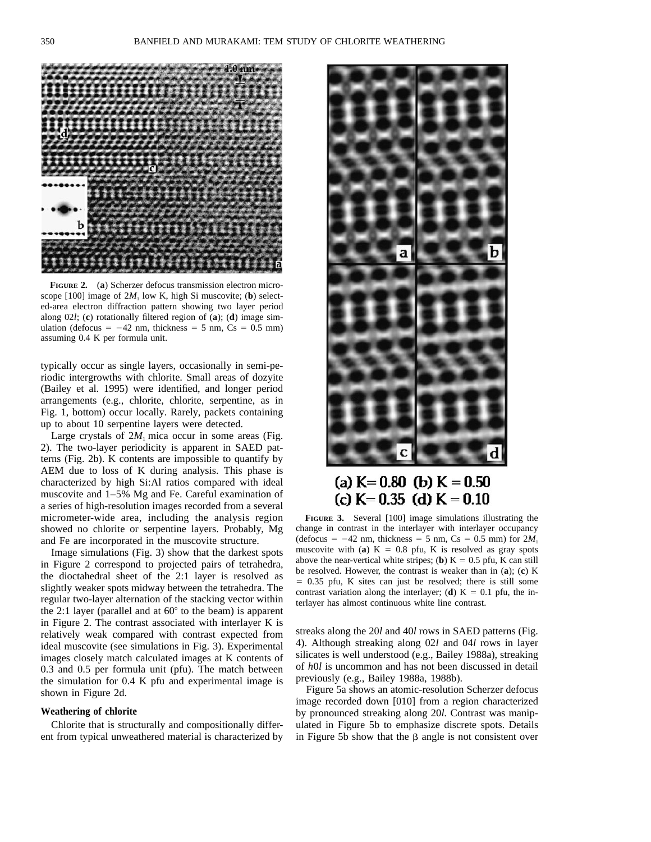

**FIGURE 2.** (**a**) Scherzer defocus transmission electron microscope [100] image of  $2M_1$  low K, high Si muscovite; (b) selected-area electron diffraction pattern showing two layer period along 02*l*; (**c**) rotationally filtered region of (**a**); (**d**) image simulation (defocus =  $-42$  nm, thickness = 5 nm, Cs = 0.5 mm) assuming 0.4 K per formula unit.

typically occur as single layers, occasionally in semi-periodic intergrowths with chlorite. Small areas of dozyite (Bailey et al. 1995) were identified, and longer period arrangements (e.g., chlorite, chlorite, serpentine, as in Fig. 1, bottom) occur locally. Rarely, packets containing up to about 10 serpentine layers were detected.

Large crystals of  $2M<sub>1</sub>$  mica occur in some areas (Fig. 2). The two-layer periodicity is apparent in SAED patterns (Fig. 2b). K contents are impossible to quantify by AEM due to loss of K during analysis. This phase is characterized by high Si:Al ratios compared with ideal muscovite and 1–5% Mg and Fe. Careful examination of a series of high-resolution images recorded from a several micrometer-wide area, including the analysis region showed no chlorite or serpentine layers. Probably, Mg and Fe are incorporated in the muscovite structure.

Image simulations (Fig. 3) show that the darkest spots in Figure 2 correspond to projected pairs of tetrahedra, the dioctahedral sheet of the 2:1 layer is resolved as slightly weaker spots midway between the tetrahedra. The regular two-layer alternation of the stacking vector within the 2:1 layer (parallel and at  $60^{\circ}$  to the beam) is apparent in Figure 2. The contrast associated with interlayer K is relatively weak compared with contrast expected from ideal muscovite (see simulations in Fig. 3). Experimental images closely match calculated images at K contents of 0.3 and 0.5 per formula unit (pfu). The match between the simulation for 0.4 K pfu and experimental image is shown in Figure 2d.

## **Weathering of chlorite**

Chlorite that is structurally and compositionally different from typical unweathered material is characterized by



# (a)  $K = 0.80$  (b)  $K = 0.50$ (c)  $K = 0.35$  (d)  $K = 0.10$

**FIGURE 3.** Several [100] image simulations illustrating the change in contrast in the interlayer with interlayer occupancy (defocus =  $-42$  nm, thickness = 5 nm, Cs = 0.5 mm) for  $2M_1$ muscovite with (**a**)  $K = 0.8$  pfu, K is resolved as gray spots above the near-vertical white stripes; (**b**)  $K = 0.5$  pfu, K can still be resolved. However, the contrast is weaker than in (**a**); (**c**) K  $= 0.35$  pfu, K sites can just be resolved; there is still some contrast variation along the interlayer; (**d**)  $K = 0.1$  pfu, the interlayer has almost continuous white line contrast.

streaks along the 20*l* and 40*l* rows in SAED patterns (Fig. 4). Although streaking along 02*l* and 04*l* rows in layer silicates is well understood (e.g., Bailey 1988a), streaking of *h*0*l* is uncommon and has not been discussed in detail previously (e.g., Bailey 1988a, 1988b).

Figure 5a shows an atomic-resolution Scherzer defocus image recorded down [010] from a region characterized by pronounced streaking along 20*l.* Contrast was manipulated in Figure 5b to emphasize discrete spots. Details in Figure 5b show that the  $\beta$  angle is not consistent over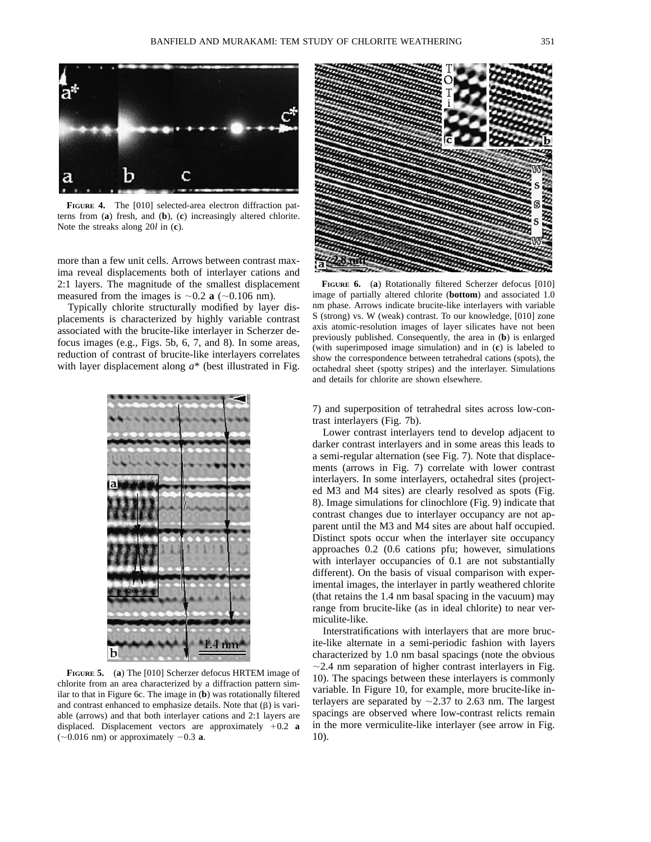

**FIGURE 4.** The [010] selected-area electron diffraction patterns from (**a**) fresh, and (**b**), (**c**) increasingly altered chlorite. Note the streaks along 20*l* in (**c**).

more than a few unit cells. Arrows between contrast maxima reveal displacements both of interlayer cations and 2:1 layers. The magnitude of the smallest displacement measured from the images is  $\sim 0.2$  **a** ( $\sim 0.106$  nm).

Typically chlorite structurally modified by layer displacements is characterized by highly variable contrast associated with the brucite-like interlayer in Scherzer defocus images (e.g., Figs. 5b, 6, 7, and 8). In some areas, reduction of contrast of brucite-like interlayers correlates with layer displacement along  $a^*$  (best illustrated in Fig.



**FIGURE 5.** (**a**) The [010] Scherzer defocus HRTEM image of chlorite from an area characterized by a diffraction pattern similar to that in Figure 6c. The image in (**b**) was rotationally filtered and contrast enhanced to emphasize details. Note that  $(\beta)$  is variable (arrows) and that both interlayer cations and 2:1 layers are displaced. Displacement vectors are approximately  $+0.2$  **a**  $(-0.016$  nm) or approximately  $-0.3$  **a**.



**FIGURE 6.** (**a**) Rotationally filtered Scherzer defocus [010] image of partially altered chlorite (**bottom**) and associated 1.0 nm phase. Arrows indicate brucite-like interlayers with variable S (strong) vs. W (weak) contrast. To our knowledge, [010] zone axis atomic-resolution images of layer silicates have not been previously published. Consequently, the area in (**b**) is enlarged (with superimposed image simulation) and in (**c**) is labeled to show the correspondence between tetrahedral cations (spots), the octahedral sheet (spotty stripes) and the interlayer. Simulations and details for chlorite are shown elsewhere.

7) and superposition of tetrahedral sites across low-contrast interlayers (Fig. 7b).

Lower contrast interlayers tend to develop adjacent to darker contrast interlayers and in some areas this leads to a semi-regular alternation (see Fig. 7). Note that displacements (arrows in Fig. 7) correlate with lower contrast interlayers. In some interlayers, octahedral sites (projected M3 and M4 sites) are clearly resolved as spots (Fig. 8). Image simulations for clinochlore (Fig. 9) indicate that contrast changes due to interlayer occupancy are not apparent until the M3 and M4 sites are about half occupied. Distinct spots occur when the interlayer site occupancy approaches 0.2 (0.6 cations pfu; however, simulations with interlayer occupancies of 0.1 are not substantially different). On the basis of visual comparison with experimental images, the interlayer in partly weathered chlorite (that retains the 1.4 nm basal spacing in the vacuum) may range from brucite-like (as in ideal chlorite) to near vermiculite-like.

Interstratifications with interlayers that are more brucite-like alternate in a semi-periodic fashion with layers characterized by 1.0 nm basal spacings (note the obvious  $\sim$  2.4 nm separation of higher contrast interlayers in Fig. 10). The spacings between these interlayers is commonly variable. In Figure 10, for example, more brucite-like interlayers are separated by  $\sim$  2.37 to 2.63 nm. The largest spacings are observed where low-contrast relicts remain in the more vermiculite-like interlayer (see arrow in Fig. 10).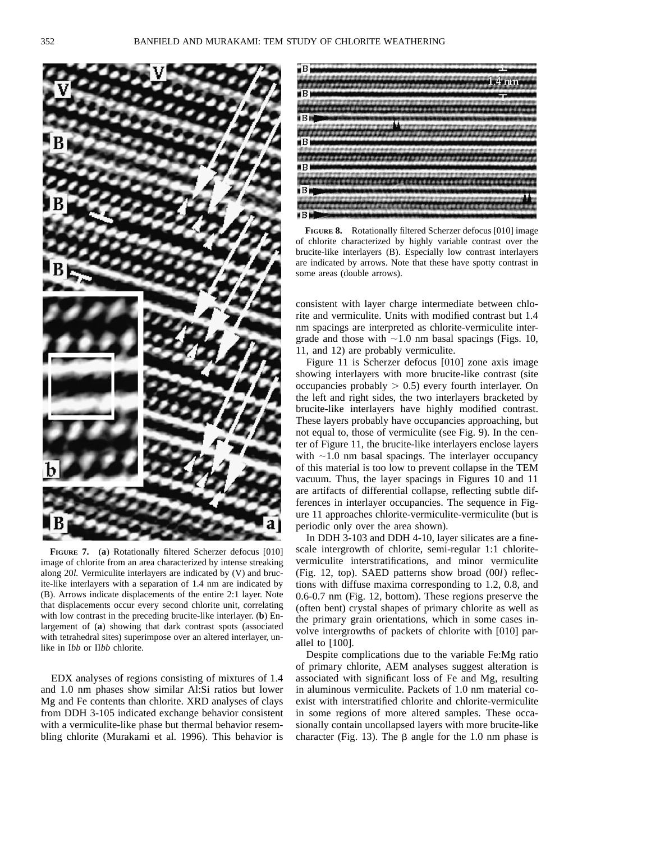

**FIGURE 7.** (**a**) Rotationally filtered Scherzer defocus [010] image of chlorite from an area characterized by intense streaking along 20*l.* Vermiculite interlayers are indicated by (V) and brucite-like interlayers with a separation of 1.4 nm are indicated by (B). Arrows indicate displacements of the entire 2:1 layer. Note that displacements occur every second chlorite unit, correlating with low contrast in the preceding brucite-like interlayer. (**b**) Enlargement of (**a**) showing that dark contrast spots (associated with tetrahedral sites) superimpose over an altered interlayer, unlike in I*bb* or II*bb* chlorite.

EDX analyses of regions consisting of mixtures of 1.4 and 1.0 nm phases show similar Al:Si ratios but lower Mg and Fe contents than chlorite. XRD analyses of clays from DDH 3-105 indicated exchange behavior consistent with a vermiculite-like phase but thermal behavior resembling chlorite (Murakami et al. 1996). This behavior is



**FIGURE 8.** Rotationally filtered Scherzer defocus [010] image of chlorite characterized by highly variable contrast over the brucite-like interlayers (B). Especially low contrast interlayers are indicated by arrows. Note that these have spotty contrast in some areas (double arrows).

consistent with layer charge intermediate between chlorite and vermiculite. Units with modified contrast but 1.4 nm spacings are interpreted as chlorite-vermiculite intergrade and those with  $\sim$ 1.0 nm basal spacings (Figs. 10, 11, and 12) are probably vermiculite.

Figure 11 is Scherzer defocus [010] zone axis image showing interlayers with more brucite-like contrast (site occupancies probably  $> 0.5$ ) every fourth interlayer. On the left and right sides, the two interlayers bracketed by brucite-like interlayers have highly modified contrast. These layers probably have occupancies approaching, but not equal to, those of vermiculite (see Fig. 9). In the center of Figure 11, the brucite-like interlayers enclose layers with  $\sim$ 1.0 nm basal spacings. The interlayer occupancy of this material is too low to prevent collapse in the TEM vacuum. Thus, the layer spacings in Figures 10 and 11 are artifacts of differential collapse, reflecting subtle differences in interlayer occupancies. The sequence in Figure 11 approaches chlorite-vermiculite-vermiculite (but is periodic only over the area shown).

In DDH 3-103 and DDH 4-10, layer silicates are a finescale intergrowth of chlorite, semi-regular 1:1 chloritevermiculite interstratifications, and minor vermiculite (Fig. 12, top). SAED patterns show broad (00*l*) reflections with diffuse maxima corresponding to 1.2, 0.8, and 0.6-0.7 nm (Fig. 12, bottom). These regions preserve the (often bent) crystal shapes of primary chlorite as well as the primary grain orientations, which in some cases involve intergrowths of packets of chlorite with [010] parallel to [100].

Despite complications due to the variable Fe:Mg ratio of primary chlorite, AEM analyses suggest alteration is associated with significant loss of Fe and Mg, resulting in aluminous vermiculite. Packets of 1.0 nm material coexist with interstratified chlorite and chlorite-vermiculite in some regions of more altered samples. These occasionally contain uncollapsed layers with more brucite-like character (Fig. 13). The  $\beta$  angle for the 1.0 nm phase is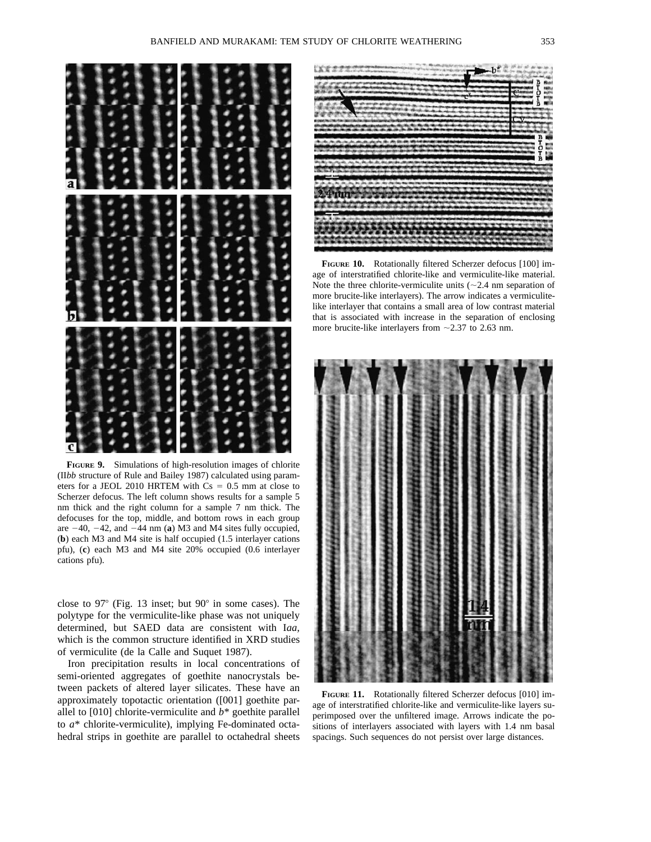

**FIGURE 9.** Simulations of high-resolution images of chlorite (II*bb* structure of Rule and Bailey 1987) calculated using parameters for a JEOL 2010 HRTEM with  $Cs = 0.5$  mm at close to Scherzer defocus. The left column shows results for a sample 5 nm thick and the right column for a sample 7 nm thick. The defocuses for the top, middle, and bottom rows in each group are  $-40$ ,  $-42$ , and  $-44$  nm (**a**) M3 and M4 sites fully occupied, (**b**) each M3 and M4 site is half occupied (1.5 interlayer cations pfu), (**c**) each M3 and M4 site 20% occupied (0.6 interlayer cations pfu).

close to  $97^{\circ}$  (Fig. 13 inset; but  $90^{\circ}$  in some cases). The polytype for the vermiculite-like phase was not uniquely determined, but SAED data are consistent with I*aa,* which is the common structure identified in XRD studies of vermiculite (de la Calle and Suquet 1987).

Iron precipitation results in local concentrations of semi-oriented aggregates of goethite nanocrystals between packets of altered layer silicates. These have an approximately topotactic orientation ([001] goethite parallel to [010] chlorite-vermiculite and *b*\* goethite parallel to *a*\* chlorite-vermiculite), implying Fe-dominated octahedral strips in goethite are parallel to octahedral sheets



**FIGURE 10.** Rotationally filtered Scherzer defocus [100] image of interstratified chlorite-like and vermiculite-like material. Note the three chlorite-vermiculite units  $(\sim 2.4$  nm separation of more brucite-like interlayers). The arrow indicates a vermiculitelike interlayer that contains a small area of low contrast material that is associated with increase in the separation of enclosing more brucite-like interlayers from  $\sim$  2.37 to 2.63 nm.



**FIGURE 11.** Rotationally filtered Scherzer defocus [010] image of interstratified chlorite-like and vermiculite-like layers superimposed over the unfiltered image. Arrows indicate the positions of interlayers associated with layers with 1.4 nm basal spacings. Such sequences do not persist over large distances.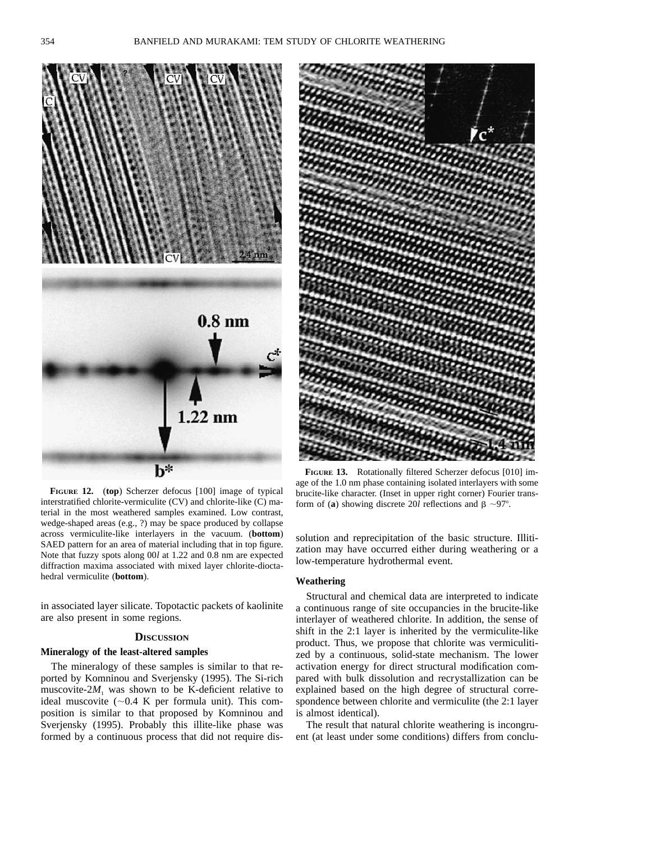

**FIGURE 12.** (**top**) Scherzer defocus [100] image of typical interstratified chlorite-vermiculite (CV) and chlorite-like (C) material in the most weathered samples examined. Low contrast, wedge-shaped areas (e.g., ?) may be space produced by collapse across vermiculite-like interlayers in the vacuum. (**bottom**) SAED pattern for an area of material including that in top figure. Note that fuzzy spots along 00*l* at 1.22 and 0.8 nm are expected diffraction maxima associated with mixed layer chlorite-dioctahedral vermiculite (**bottom**).

in associated layer silicate. Topotactic packets of kaolinite are also present in some regions.

# **DISCUSSION**

### **Mineralogy of the least-altered samples**

The mineralogy of these samples is similar to that reported by Komninou and Sverjensky (1995). The Si-rich muscovite- $2M_1$  was shown to be K-deficient relative to ideal muscovite  $(-0.4 \text{ K per formula unit})$ . This composition is similar to that proposed by Komninou and Sverjensky (1995). Probably this illite-like phase was formed by a continuous process that did not require dis-



**FIGURE 13.** Rotationally filtered Scherzer defocus [010] image of the 1.0 nm phase containing isolated interlayers with some brucite-like character. (Inset in upper right corner) Fourier transform of (**a**) showing discrete 20*l* reflections and  $\beta \sim 97^\circ$ .

solution and reprecipitation of the basic structure. Illitization may have occurred either during weathering or a low-temperature hydrothermal event.

## **Weathering**

Structural and chemical data are interpreted to indicate a continuous range of site occupancies in the brucite-like interlayer of weathered chlorite. In addition, the sense of shift in the 2:1 layer is inherited by the vermiculite-like product. Thus, we propose that chlorite was vermiculitized by a continuous, solid-state mechanism. The lower activation energy for direct structural modification compared with bulk dissolution and recrystallization can be explained based on the high degree of structural correspondence between chlorite and vermiculite (the 2:1 layer is almost identical).

The result that natural chlorite weathering is incongruent (at least under some conditions) differs from conclu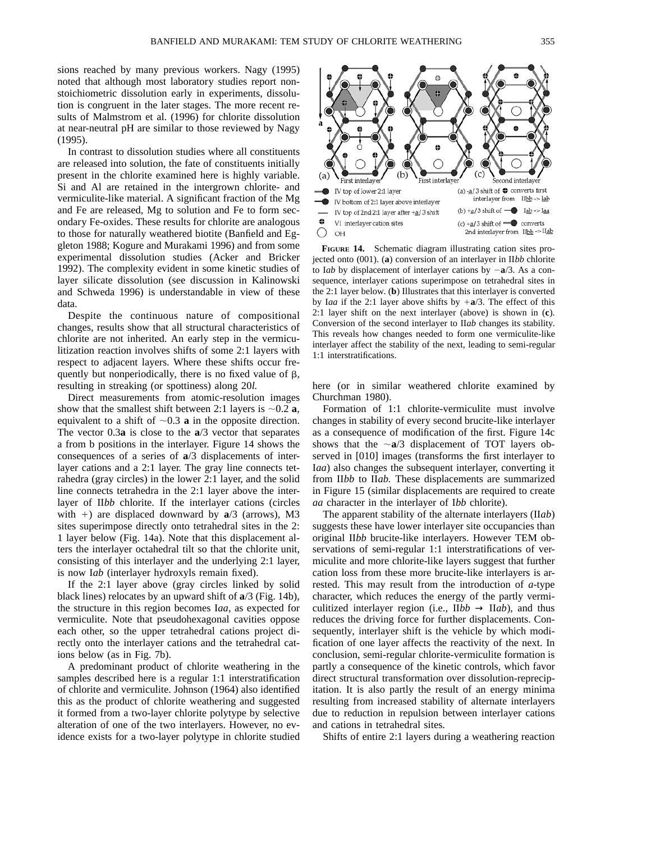sions reached by many previous workers. Nagy (1995) noted that although most laboratory studies report nonstoichiometric dissolution early in experiments, dissolution is congruent in the later stages. The more recent results of Malmstrom et al. (1996) for chlorite dissolution at near-neutral pH are similar to those reviewed by Nagy (1995).

In contrast to dissolution studies where all constituents are released into solution, the fate of constituents initially present in the chlorite examined here is highly variable. Si and Al are retained in the intergrown chlorite- and vermiculite-like material. A significant fraction of the Mg and Fe are released, Mg to solution and Fe to form secondary Fe-oxides. These results for chlorite are analogous to those for naturally weathered biotite (Banfield and Eggleton 1988; Kogure and Murakami 1996) and from some experimental dissolution studies (Acker and Bricker 1992). The complexity evident in some kinetic studies of layer silicate dissolution (see discussion in Kalinowski and Schweda 1996) is understandable in view of these data.

Despite the continuous nature of compositional changes, results show that all structural characteristics of chlorite are not inherited. An early step in the vermiculitization reaction involves shifts of some 2:1 layers with respect to adjacent layers. Where these shifts occur frequently but nonperiodically, there is no fixed value of  $\beta$ , resulting in streaking (or spottiness) along 20*l.*

Direct measurements from atomic-resolution images show that the smallest shift between 2:1 layers is  $\sim 0.2$  **a**, equivalent to a shift of  $\sim 0.3$  **a** in the opposite direction. The vector 0.3**a** is close to the **a**/3 vector that separates a from b positions in the interlayer. Figure 14 shows the consequences of a series of **a**/3 displacements of interlayer cations and a 2:1 layer. The gray line connects tetrahedra (gray circles) in the lower 2:1 layer, and the solid line connects tetrahedra in the 2:1 layer above the interlayer of II*bb* chlorite. If the interlayer cations (circles with  $+$ ) are displaced downward by  $a/3$  (arrows), M3 sites superimpose directly onto tetrahedral sites in the 2: 1 layer below (Fig. 14a). Note that this displacement alters the interlayer octahedral tilt so that the chlorite unit, consisting of this interlayer and the underlying 2:1 layer, is now I*ab* (interlayer hydroxyls remain fixed).

If the 2:1 layer above (gray circles linked by solid black lines) relocates by an upward shift of **a**/3 (Fig. 14b), the structure in this region becomes I*aa,* as expected for vermiculite. Note that pseudohexagonal cavities oppose each other, so the upper tetrahedral cations project directly onto the interlayer cations and the tetrahedral cations below (as in Fig. 7b).

A predominant product of chlorite weathering in the samples described here is a regular 1:1 interstratification of chlorite and vermiculite. Johnson (1964) also identified this as the product of chlorite weathering and suggested it formed from a two-layer chlorite polytype by selective alteration of one of the two interlayers. However, no evidence exists for a two-layer polytype in chlorite studied



**FIGURE 14.** Schematic diagram illustrating cation sites projected onto (001). (**a**) conversion of an interlayer in II*bb* chlorite to I*ab* by displacement of interlayer cations by  $-a/3$ . As a consequence, interlayer cations superimpose on tetrahedral sites in the 2:1 layer below. (**b**) Illustrates that this interlayer is converted by I*aa* if the 2:1 layer above shifts by  $+a/3$ . The effect of this 2:1 layer shift on the next interlayer (above) is shown in (**c**). Conversion of the second interlayer to II*ab* changes its stability. This reveals how changes needed to form one vermiculite-like interlayer affect the stability of the next, leading to semi-regular 1:1 interstratifications.

here (or in similar weathered chlorite examined by Churchman 1980).

Formation of 1:1 chlorite-vermiculite must involve changes in stability of every second brucite-like interlayer as a consequence of modification of the first. Figure 14c shows that the  $\sim a/3$  displacement of TOT layers observed in [010] images (transforms the first interlayer to I*aa*) also changes the subsequent interlayer, converting it from II*bb* to II*ab.* These displacements are summarized in Figure 15 (similar displacements are required to create *aa* character in the interlayer of I*bb* chlorite).

The apparent stability of the alternate interlayers (II*ab*) suggests these have lower interlayer site occupancies than original II*bb* brucite-like interlayers. However TEM observations of semi-regular 1:1 interstratifications of vermiculite and more chlorite-like layers suggest that further cation loss from these more brucite-like interlayers is arrested. This may result from the introduction of *a*-type character, which reduces the energy of the partly vermiculitized interlayer region (i.e.,  $\text{II}bb \rightarrow \text{II}ab$ ), and thus reduces the driving force for further displacements. Consequently, interlayer shift is the vehicle by which modification of one layer affects the reactivity of the next. In conclusion, semi-regular chlorite-vermiculite formation is partly a consequence of the kinetic controls, which favor direct structural transformation over dissolution-reprecipitation. It is also partly the result of an energy minima resulting from increased stability of alternate interlayers due to reduction in repulsion between interlayer cations and cations in tetrahedral sites.

Shifts of entire 2:1 layers during a weathering reaction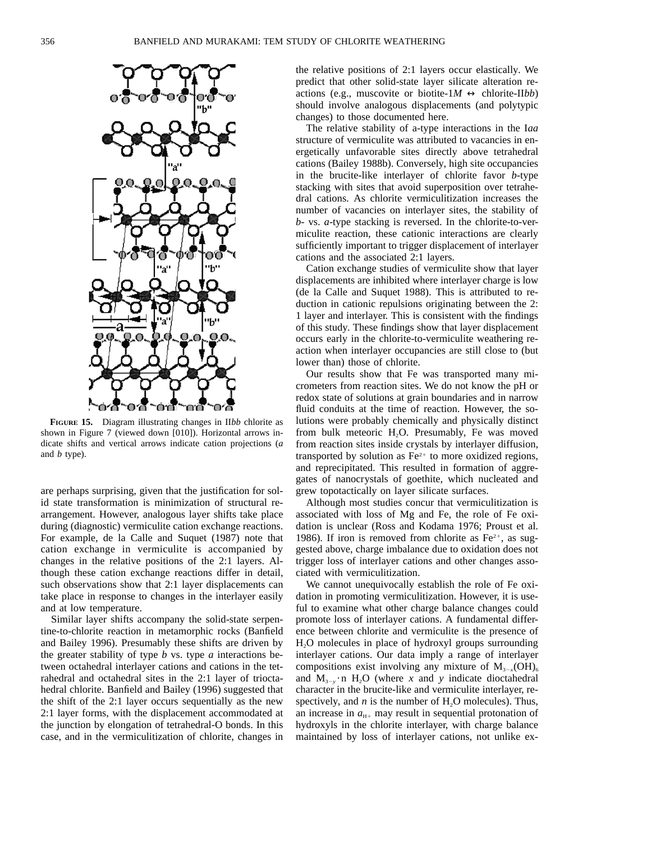

**FIGURE 15.** Diagram illustrating changes in II*bb* chlorite as shown in Figure 7 (viewed down [010]). Horizontal arrows indicate shifts and vertical arrows indicate cation projections (*a* and *b* type).

are perhaps surprising, given that the justification for solid state transformation is minimization of structural rearrangement. However, analogous layer shifts take place during (diagnostic) vermiculite cation exchange reactions. For example, de la Calle and Suquet (1987) note that cation exchange in vermiculite is accompanied by changes in the relative positions of the 2:1 layers. Although these cation exchange reactions differ in detail, such observations show that 2:1 layer displacements can take place in response to changes in the interlayer easily and at low temperature.

Similar layer shifts accompany the solid-state serpentine-to-chlorite reaction in metamorphic rocks (Banfield and Bailey 1996). Presumably these shifts are driven by the greater stability of type *b* vs. type *a* interactions between octahedral interlayer cations and cations in the tetrahedral and octahedral sites in the 2:1 layer of trioctahedral chlorite. Banfield and Bailey (1996) suggested that the shift of the 2:1 layer occurs sequentially as the new 2:1 layer forms, with the displacement accommodated at the junction by elongation of tetrahedral-O bonds. In this case, and in the vermiculitization of chlorite, changes in the relative positions of 2:1 layers occur elastically. We predict that other solid-state layer silicate alteration reactions (e.g., muscovite or biotite- $1M \leftrightarrow$  chlorite-IIbb) should involve analogous displacements (and polytypic changes) to those documented here.

The relative stability of a-type interactions in the I*aa* structure of vermiculite was attributed to vacancies in energetically unfavorable sites directly above tetrahedral cations (Bailey 1988b). Conversely, high site occupancies in the brucite-like interlayer of chlorite favor *b*-type stacking with sites that avoid superposition over tetrahedral cations. As chlorite vermiculitization increases the number of vacancies on interlayer sites, the stability of *b*- vs. *a*-type stacking is reversed. In the chlorite-to-vermiculite reaction, these cationic interactions are clearly sufficiently important to trigger displacement of interlayer cations and the associated 2:1 layers.

Cation exchange studies of vermiculite show that layer displacements are inhibited where interlayer charge is low (de la Calle and Suquet 1988). This is attributed to reduction in cationic repulsions originating between the 2: 1 layer and interlayer. This is consistent with the findings of this study. These findings show that layer displacement occurs early in the chlorite-to-vermiculite weathering reaction when interlayer occupancies are still close to (but lower than) those of chlorite.

Our results show that Fe was transported many micrometers from reaction sites. We do not know the pH or redox state of solutions at grain boundaries and in narrow fluid conduits at the time of reaction. However, the solutions were probably chemically and physically distinct from bulk meteoric H<sub>2</sub>O. Presumably, Fe was moved from reaction sites inside crystals by interlayer diffusion, transported by solution as  $Fe<sup>2+</sup>$  to more oxidized regions, and reprecipitated. This resulted in formation of aggregates of nanocrystals of goethite, which nucleated and grew topotactically on layer silicate surfaces.

Although most studies concur that vermiculitization is associated with loss of Mg and Fe, the role of Fe oxidation is unclear (Ross and Kodama 1976; Proust et al. 1986). If iron is removed from chlorite as  $Fe<sup>2+</sup>$ , as suggested above, charge imbalance due to oxidation does not trigger loss of interlayer cations and other changes associated with vermiculitization.

We cannot unequivocally establish the role of Fe oxidation in promoting vermiculitization. However, it is useful to examine what other charge balance changes could promote loss of interlayer cations. A fundamental difference between chlorite and vermiculite is the presence of H2O molecules in place of hydroxyl groups surrounding interlayer cations. Our data imply a range of interlayer compositions exist involving any mixture of  $M_{3-x}(OH)_{6}$ and  $M_{3-y} \cdot n$  H<sub>2</sub>O (where *x* and *y* indicate dioctahedral character in the brucite-like and vermiculite interlayer, respectively, and  $n$  is the number of  $H<sub>2</sub>O$  molecules). Thus, an increase in  $a_{H+}$  may result in sequential protonation of hydroxyls in the chlorite interlayer, with charge balance maintained by loss of interlayer cations, not unlike ex